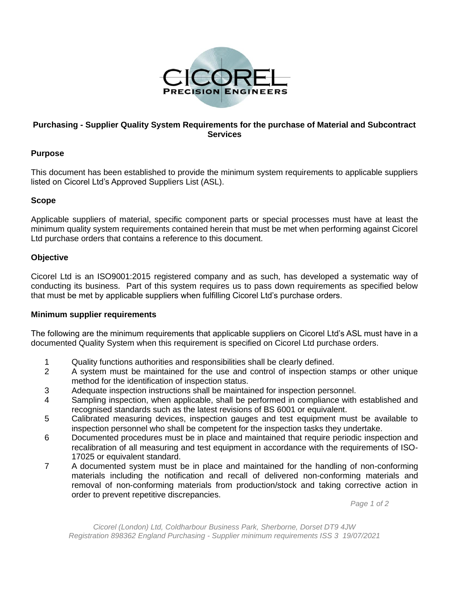

# **Purchasing - Supplier Quality System Requirements for the purchase of Material and Subcontract Services**

# **Purpose**

This document has been established to provide the minimum system requirements to applicable suppliers listed on Cicorel Ltd's Approved Suppliers List (ASL).

### **Scope**

Applicable suppliers of material, specific component parts or special processes must have at least the minimum quality system requirements contained herein that must be met when performing against Cicorel Ltd purchase orders that contains a reference to this document.

### **Objective**

Cicorel Ltd is an ISO9001:2015 registered company and as such, has developed a systematic way of conducting its business. Part of this system requires us to pass down requirements as specified below that must be met by applicable suppliers when fulfilling Cicorel Ltd's purchase orders.

#### **Minimum supplier requirements**

The following are the minimum requirements that applicable suppliers on Cicorel Ltd's ASL must have in a documented Quality System when this requirement is specified on Cicorel Ltd purchase orders.

- 1 Quality functions authorities and responsibilities shall be clearly defined.
- 2 A system must be maintained for the use and control of inspection stamps or other unique method for the identification of inspection status.
- 3 Adequate inspection instructions shall be maintained for inspection personnel.
- 4 Sampling inspection, when applicable, shall be performed in compliance with established and recognised standards such as the latest revisions of BS 6001 or equivalent.
- 5 Calibrated measuring devices, inspection gauges and test equipment must be available to inspection personnel who shall be competent for the inspection tasks they undertake.
- 6 Documented procedures must be in place and maintained that require periodic inspection and recalibration of all measuring and test equipment in accordance with the requirements of ISO-17025 or equivalent standard.
- 7 A documented system must be in place and maintained for the handling of non-conforming materials including the notification and recall of delivered non-conforming materials and removal of non-conforming materials from production/stock and taking corrective action in order to prevent repetitive discrepancies.

*Page 1 of 2*